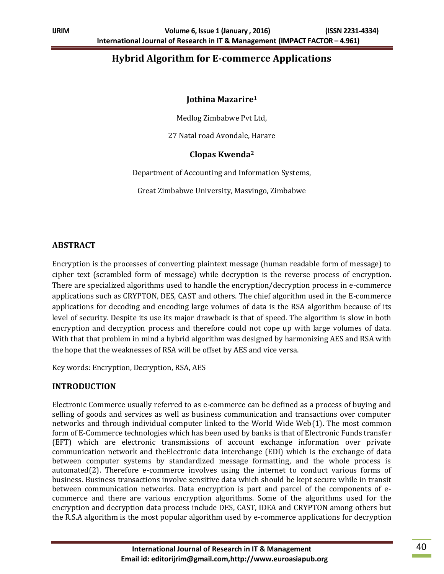# **Hybrid Algorithm for E-commerce Applications**

#### **Jothina Mazarire<sup>1</sup>**

Medlog Zimbabwe Pvt Ltd,

27 Natal road Avondale, Harare

#### **Clopas Kwenda<sup>2</sup>**

Department of Accounting and Information Systems,

Great Zimbabwe University, Masvingo, Zimbabwe

### **ABSTRACT**

Encryption is the processes of converting plaintext message (human readable form of message) to cipher text (scrambled form of message) while decryption is the reverse process of encryption. There are specialized algorithms used to handle the encryption/decryption process in e-commerce applications such as CRYPTON, DES, CAST and others. The chief algorithm used in the E-commerce applications for decoding and encoding large volumes of data is the RSA algorithm because of its level of security. Despite its use its major drawback is that of speed. The algorithm is slow in both encryption and decryption process and therefore could not cope up with large volumes of data. With that that problem in mind a hybrid algorithm was designed by harmonizing AES and RSA with the hope that the weaknesses of RSA will be offset by AES and vice versa.

Key words: Encryption, Decryption, RSA, AES

### **INTRODUCTION**

Electronic Commerce usually referred to as e-commerce can be defined as a process of buying and selling of goods and services as well as business communication and transactions over computer networks and through individual computer linked to the World Wide Web(1). The most common form of E-Commerce technologies which has been used by banks is that of Electronic Funds transfer (EFT) which are electronic transmissions of account exchange information over private communication network and theElectronic data interchange (EDI) which is the exchange of data between computer systems by standardized message formatting, and the whole process is automated(2). Therefore e-commerce involves using the internet to conduct various forms of business. Business transactions involve sensitive data which should be kept secure while in transit between communication networks. Data encryption is part and parcel of the components of ecommerce and there are various encryption algorithms. Some of the algorithms used for the encryption and decryption data process include DES, CAST, IDEA and CRYPTON among others but the R.S.A algorithm is the most popular algorithm used by e-commerce applications for decryption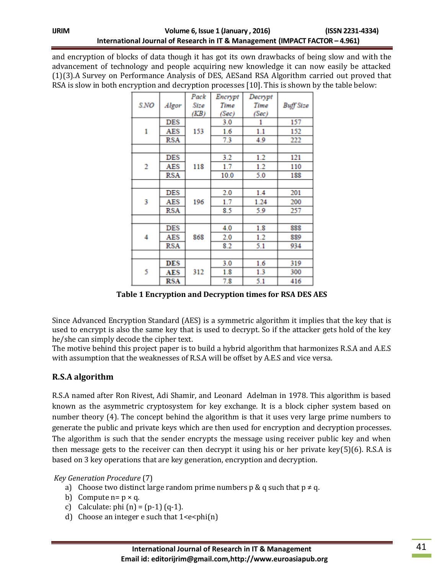and encryption of blocks of data though it has got its own drawbacks of being slow and with the advancement of technology and people acquiring new knowledge it can now easily be attacked (1)(3).A Survey on Performance Analysis of DES, AESand RSA Algorithm carried out proved that RSA is slow in both encryption and decryption processes [10]. This is shown by the table below:

| S.NO | Algor      | Pack | Encrypt | Decrypt |                  |
|------|------------|------|---------|---------|------------------|
|      |            | Size | Time    | Time    | <b>Buff Size</b> |
|      |            | (KB) | (Sec)   | (Sec)   |                  |
| 1    | <b>DES</b> | 153  | 3.0     | 1       | 157              |
|      | AES        |      | 1.6     | 1.1     | 152              |
|      | RSA        |      | 7.3     | 4.9     | 222              |
|      |            |      |         |         |                  |
| 2    | DES        | 118  | 3.2     | 1.2     | 121              |
|      | AES        |      | 1.7     | 1.2     | 110              |
|      | RSA        |      | 10.0    | 5.0     | 188              |
|      |            |      |         |         |                  |
| 3    | DES        | 196  | 2.0     | 1.4     | 201              |
|      | AES        |      | 1.7     | 1.24    | 200              |
|      | <b>RSA</b> |      | 8.5     | 5.9     | 257              |
|      |            |      |         |         |                  |
| 4    | <b>DES</b> | 868  | 4.0     | 1.8     | 888              |
|      | AES        |      | 2.0     | 1.2     | 889              |
|      | <b>RSA</b> |      | 8.2     | 5.1     | 934              |
|      |            |      |         |         |                  |
| 5    | <b>DES</b> | 312  | 3.0     | 1.6     | 319              |
|      | AES        |      | 1.8     | 1.3     | 300              |
|      | RSA        |      | 7.8     | 5.1     | 416              |

**Table 1 Encryption and Decryption times for RSA DES AES**

Since Advanced Encryption Standard (AES) is a symmetric algorithm it implies that the key that is used to encrypt is also the same key that is used to decrypt. So if the attacker gets hold of the key he/she can simply decode the cipher text.

The motive behind this project paper is to build a hybrid algorithm that harmonizes R.S.A and A.E.S with assumption that the weaknesses of R.S.A will be offset by A.E.S and vice versa.

# **R.S.A algorithm**

R.S.A named after Ron Rivest, Adi Shamir, and Leonard Adelman in 1978. This algorithm is based known as the asymmetric cryptosystem for key exchange. It is a block cipher system based on number theory (4). The concept behind the algorithm is that it uses very large prime numbers to generate the public and private keys which are then used for encryption and decryption processes. The algorithm is such that the sender encrypts the message using receiver public key and when then message gets to the receiver can then decrypt it using his or her private key(5)(6). R.S.A is based on 3 key operations that are key generation, encryption and decryption.

*Key Generation Procedure* (7)

- a) Choose two distinct large random prime numbers p & q such that  $p \neq q$ .
- b) Compute  $n = p \times q$ .
- c) Calculate: phi  $(n) = (p-1) (q-1)$ .
- d) Choose an integer e such that  $1 \leq e \leq \text{phi}(n)$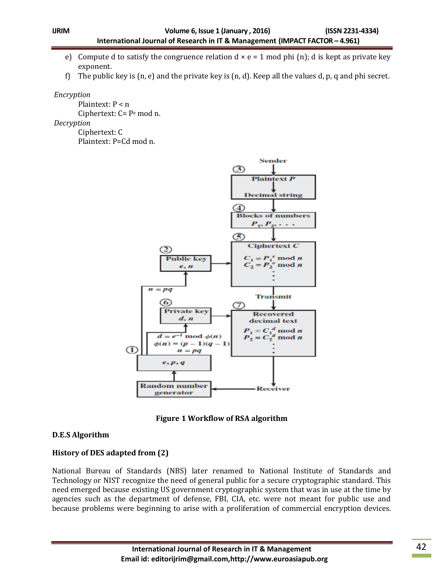- e) Compute d to satisfy the congruence relation  $d \times e = 1$  mod phi (n); d is kept as private key exponent.
- f) The public key is  $(n, e)$  and the private key is  $(n, d)$ . Keep all the values d, p, q and phi secret.

#### *Encryption*

Plaintext: P < n Ciphertext: C= P<sup>e</sup> mod n.

*Decryption* 

Ciphertext: C Plaintext: P=Cd mod n.



**Figure 1 Workflow of RSA algorithm**

### **D.E.S Algorithm**

### **History of DES adapted from (2)**

National Bureau of Standards (NBS) later renamed to National Institute of Standards and Technology or NIST recognize the need of general public for a secure cryptographic standard. This need emerged because existing US government cryptographic system that was in use at the time by agencies such as the department of defense, FBI, CIA, etc. were not meant for public use and because problems were beginning to arise with a proliferation of commercial encryption devices.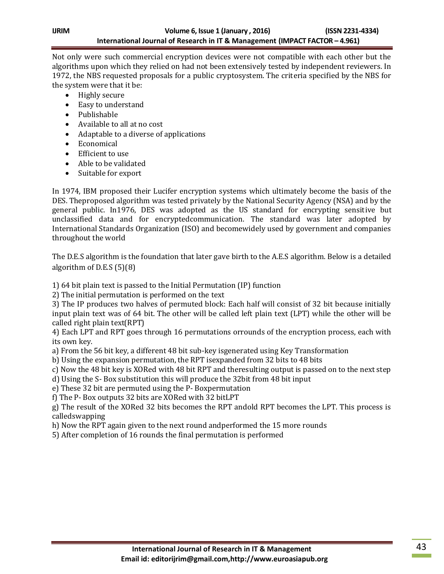Not only were such commercial encryption devices were not compatible with each other but the algorithms upon which they relied on had not been extensively tested by independent reviewers. In 1972, the NBS requested proposals for a public cryptosystem. The criteria specified by the NBS for the system were that it be:

- Highly secure
- Easy to understand
- Publishable
- Available to all at no cost
- Adaptable to a diverse of applications
- Economical
- Efficient to use
- Able to be validated
- Suitable for export

In 1974, IBM proposed their Lucifer encryption systems which ultimately become the basis of the DES. Theproposed algorithm was tested privately by the National Security Agency (NSA) and by the general public. In1976, DES was adopted as the US standard for encrypting sensitive but unclassified data and for encryptedcommunication. The standard was later adopted by International Standards Organization (ISO) and becomewidely used by government and companies throughout the world

The D.E.S algorithm is the foundation that later gave birth to the A.E.S algorithm. Below is a detailed algorithm of D.E.S (5)(8)

1) 64 bit plain text is passed to the Initial Permutation (IP) function

2) The initial permutation is performed on the text

3) The IP produces two halves of permuted block: Each half will consist of 32 bit because initially input plain text was of 64 bit. The other will be called left plain text (LPT) while the other will be called right plain text(RPT)

4) Each LPT and RPT goes through 16 permutations orrounds of the encryption process, each with its own key.

- a) From the 56 bit key, a different 48 bit sub-key isgenerated using Key Transformation
- b) Using the expansion permutation, the RPT isexpanded from 32 bits to 48 bits

c) Now the 48 bit key is XORed with 48 bit RPT and theresulting output is passed on to the next step

- d) Using the S- Box substitution this will produce the 32bit from 48 bit input
- e) These 32 bit are permuted using the P- Boxpermutation
- f) The P- Box outputs 32 bits are XORed with 32 bitLPT

g) The result of the XORed 32 bits becomes the RPT andold RPT becomes the LPT. This process is calledswapping

- h) Now the RPT again given to the next round andperformed the 15 more rounds
- 5) After completion of 16 rounds the final permutation is performed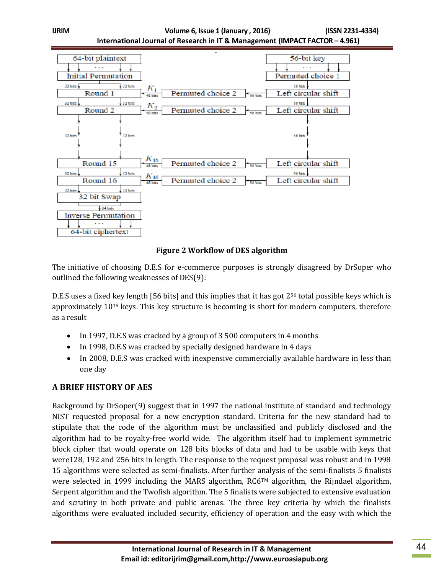

### **Figure 2 Workflow of DES algorithm**

The initiative of choosing D.E.S for e-commerce purposes is strongly disagreed by DrSoper who outlined the following weaknesses of DES(9):

D.E.S uses a fixed key length [56 bits] and this implies that it has got  $2^{56}$  total possible keys which is approximately 10<sup>15</sup> keys. This key structure is becoming is short for modern computers, therefore as a result

- In 1997, D.E.S was cracked by a group of 3 500 computers in 4 months
- In 1998, D.E.S was cracked by specially designed hardware in 4 days
- In 2008, D.E.S was cracked with inexpensive commercially available hardware in less than one day

# **A BRIEF HISTORY OF AES**

Background by DrSoper(9) suggest that in 1997 the national institute of standard and technology NIST requested proposal for a new encryption standard. Criteria for the new standard had to stipulate that the code of the algorithm must be unclassified and publicly disclosed and the algorithm had to be royalty-free world wide. The algorithm itself had to implement symmetric block cipher that would operate on 128 bits blocks of data and had to be usable with keys that were128, 192 and 256 bits in length. The response to the request proposal was robust and in 1998 15 algorithms were selected as semi-finalists. After further analysis of the semi-finalists 5 finalists were selected in 1999 including the MARS algorithm, RC6™ algorithm, the Rijndael algorithm, Serpent algorithm and the Twofish algorithm. The 5 finalists were subjected to extensive evaluation and scrutiny in both private and public arenas. The three key criteria by which the finalists algorithms were evaluated included security, efficiency of operation and the easy with which the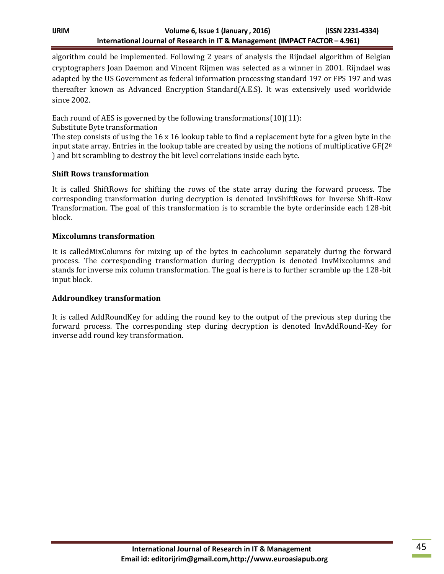algorithm could be implemented. Following 2 years of analysis the Rijndael algorithm of Belgian cryptographers Joan Daemon and Vincent Rijmen was selected as a winner in 2001. Rijndael was adapted by the US Government as federal information processing standard 197 or FPS 197 and was thereafter known as Advanced Encryption Standard(A.E.S). It was extensively used worldwide since 2002.

Each round of AES is governed by the following transformations  $(10)(11)$ :

Substitute Byte transformation

The step consists of using the 16 x 16 lookup table to find a replacement byte for a given byte in the input state array. Entries in the lookup table are created by using the notions of multiplicative  $GF(2<sup>8</sup>)$ ) and bit scrambling to destroy the bit level correlations inside each byte.

### **Shift Rows transformation**

It is called ShiftRows for shifting the rows of the state array during the forward process. The corresponding transformation during decryption is denoted InvShiftRows for Inverse Shift-Row Transformation. The goal of this transformation is to scramble the byte orderinside each 128-bit block.

### **Mixcolumns transformation**

It is calledMixColumns for mixing up of the bytes in eachcolumn separately during the forward process. The corresponding transformation during decryption is denoted InvMixcolumns and stands for inverse mix column transformation. The goal is here is to further scramble up the 128-bit input block.

### **Addroundkey transformation**

It is called AddRoundKey for adding the round key to the output of the previous step during the forward process. The corresponding step during decryption is denoted InvAddRound-Key for inverse add round key transformation.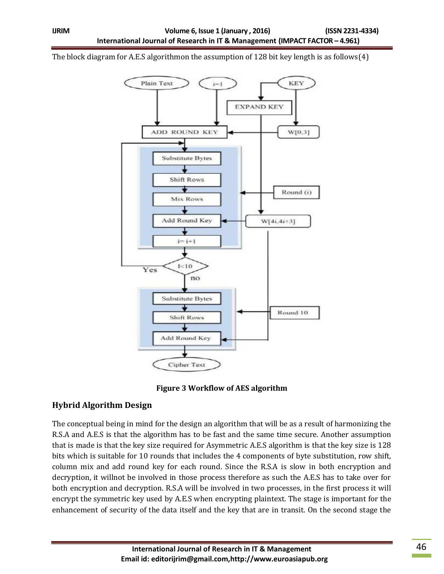The block diagram for A.E.S algorithmon the assumption of 128 bit key length is as follows(4)





### **Hybrid Algorithm Design**

The conceptual being in mind for the design an algorithm that will be as a result of harmonizing the R.S.A and A.E.S is that the algorithm has to be fast and the same time secure. Another assumption that is made is that the key size required for Asymmetric A.E.S algorithm is that the key size is 128 bits which is suitable for 10 rounds that includes the 4 components of byte substitution, row shift, column mix and add round key for each round. Since the R.S.A is slow in both encryption and decryption, it willnot be involved in those process therefore as such the A.E.S has to take over for both encryption and decryption. R.S.A will be involved in two processes, in the first process it will encrypt the symmetric key used by A.E.S when encrypting plaintext. The stage is important for the enhancement of security of the data itself and the key that are in transit. On the second stage the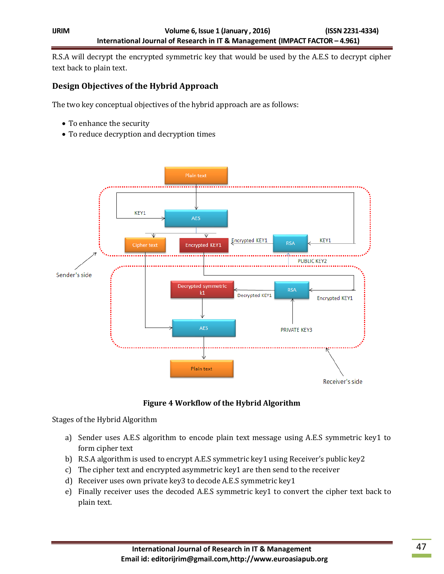R.S.A will decrypt the encrypted symmetric key that would be used by the A.E.S to decrypt cipher text back to plain text.

## **Design Objectives of the Hybrid Approach**

The two key conceptual objectives of the hybrid approach are as follows:

- To enhance the security
- To reduce decryption and decryption times



### **Figure 4 Workflow of the Hybrid Algorithm**

Stages of the Hybrid Algorithm

- a) Sender uses A.E.S algorithm to encode plain text message using A.E.S symmetric key1 to form cipher text
- b) R.S.A algorithm is used to encrypt A.E.S symmetric key1 using Receiver's public key2
- c) The cipher text and encrypted asymmetric key1 are then send to the receiver
- d) Receiver uses own private key3 to decode A.E.S symmetric key1
- e) Finally receiver uses the decoded A.E.S symmetric key1 to convert the cipher text back to plain text.